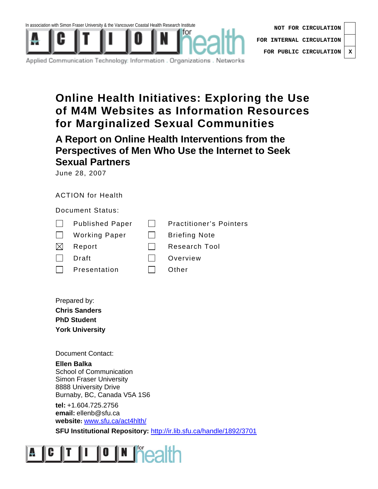

**NOT FOR CIRCULATION FOR INTERNAL CIRCULATION FOR PUBLIC CIRCULATION X**

Applied Communication Technology: Information . Organizations . Networks

# **Online Health Initiatives: Exploring the Use of M4M Websites as Information Resources for Marginalized Sexual Communities**

**A Report on Online Health Interventions from the Perspectives of Men Who Use the Internet to Seek Sexual Partners** 

June 28, 2007

# ACTION for Health

Document Status:

- Published Paper **Practitioner's Pointers**
- $\Box$  Working Paper  $\Box$  Briefing Note
- $\boxtimes$  Report  $\Box$  Research Tool
- 
- □ Draft Draft Diverview
- $\Box$  Presentation  $\Box$  Other
	-

Prepared by: **Chris Sanders PhD Student York University** 

Document Contact:

**Ellen Balka**  School of Communication Simon Fraser University 8888 University Drive Burnaby, BC, Canada V5A 1S6

**tel:** +1.604.725.2756 **email:** ellenb@sfu.ca **website:** www.sfu.ca/act4hlth/

**SFU Institutional Repository:** http://ir.lib.sfu.ca/handle/1892/3701

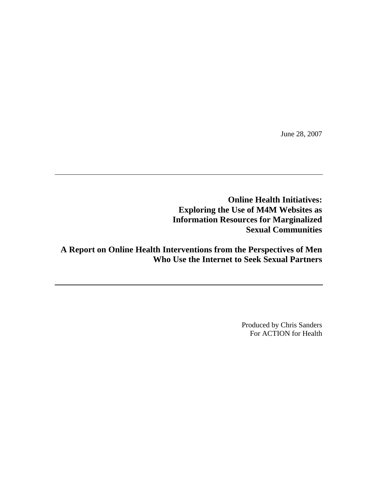June 28, 2007

**Online Health Initiatives: Exploring the Use of M4M Websites as Information Resources for Marginalized Sexual Communities** 

**A Report on Online Health Interventions from the Perspectives of Men Who Use the Internet to Seek Sexual Partners** 

> Produced by Chris Sanders For ACTION for Health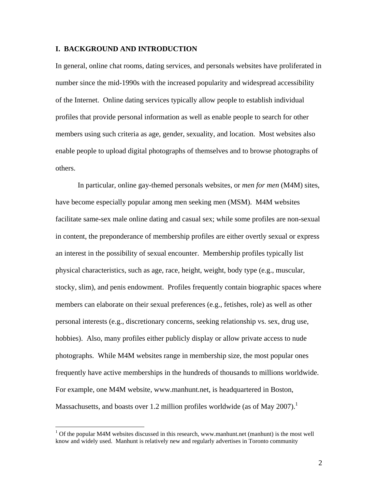### **I. BACKGROUND AND INTRODUCTION**

In general, online chat rooms, dating services, and personals websites have proliferated in number since the mid-1990s with the increased popularity and widespread accessibility of the Internet. Online dating services typically allow people to establish individual profiles that provide personal information as well as enable people to search for other members using such criteria as age, gender, sexuality, and location. Most websites also enable people to upload digital photographs of themselves and to browse photographs of others.

In particular, online gay-themed personals websites, or *men for men* (M4M) sites, have become especially popular among men seeking men (MSM). M4M websites facilitate same-sex male online dating and casual sex; while some profiles are non-sexual in content, the preponderance of membership profiles are either overtly sexual or express an interest in the possibility of sexual encounter. Membership profiles typically list physical characteristics, such as age, race, height, weight, body type (e.g., muscular, stocky, slim), and penis endowment. Profiles frequently contain biographic spaces where members can elaborate on their sexual preferences (e.g., fetishes, role) as well as other personal interests (e.g., discretionary concerns, seeking relationship vs. sex, drug use, hobbies). Also, many profiles either publicly display or allow private access to nude photographs. While M4M websites range in membership size, the most popular ones frequently have active memberships in the hundreds of thousands to millions worldwide. For example, one M4M website, www.manhunt.net, is headquartered in Boston, Massachusetts, and boasts over 1.2 million profiles worldwide (as of May 2007).<sup>1</sup>

 $1$  Of the popular M4M websites discussed in this research, www.manhunt.net (manhunt) is the most well know and widely used. Manhunt is relatively new and regularly advertises in Toronto community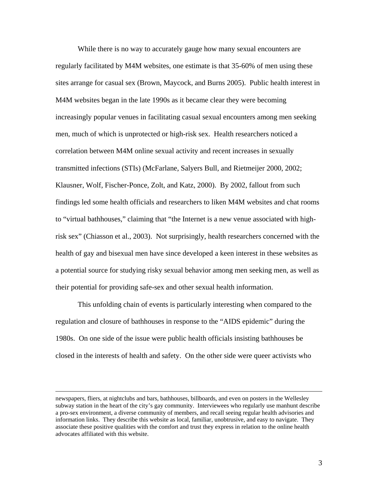While there is no way to accurately gauge how many sexual encounters are regularly facilitated by M4M websites, one estimate is that 35-60% of men using these sites arrange for casual sex (Brown, Maycock, and Burns 2005). Public health interest in M4M websites began in the late 1990s as it became clear they were becoming increasingly popular venues in facilitating casual sexual encounters among men seeking men, much of which is unprotected or high-risk sex. Health researchers noticed a correlation between M4M online sexual activity and recent increases in sexually transmitted infections (STIs) (McFarlane, Salyers Bull, and Rietmeijer 2000, 2002; Klausner, Wolf, Fischer-Ponce, Zolt, and Katz, 2000). By 2002, fallout from such findings led some health officials and researchers to liken M4M websites and chat rooms to "virtual bathhouses," claiming that "the Internet is a new venue associated with highrisk sex" (Chiasson et al., 2003). Not surprisingly, health researchers concerned with the health of gay and bisexual men have since developed a keen interest in these websites as a potential source for studying risky sexual behavior among men seeking men, as well as their potential for providing safe-sex and other sexual health information.

This unfolding chain of events is particularly interesting when compared to the regulation and closure of bathhouses in response to the "AIDS epidemic" during the 1980s. On one side of the issue were public health officials insisting bathhouses be closed in the interests of health and safety. On the other side were queer activists who

newspapers, fliers, at nightclubs and bars, bathhouses, billboards, and even on posters in the Wellesley subway station in the heart of the city's gay community. Interviewees who regularly use manhunt describe a pro-sex environment, a diverse community of members, and recall seeing regular health advisories and information links. They describe this website as local, familiar, unobtrusive, and easy to navigate. They associate these positive qualities with the comfort and trust they express in relation to the online health advocates affiliated with this website.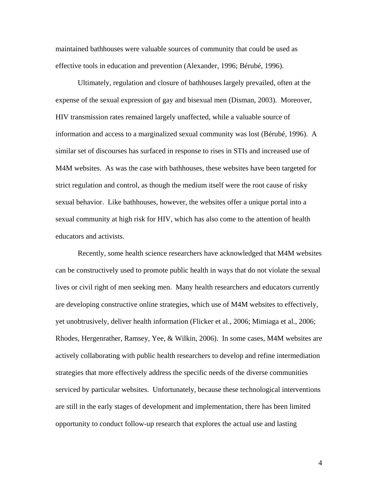maintained bathhouses were valuable sources of community that could be used as effective tools in education and prevention (Alexander, 1996; Bérubé, 1996).

Ultimately, regulation and closure of bathhouses largely prevailed, often at the expense of the sexual expression of gay and bisexual men (Disman, 2003). Moreover, HIV transmission rates remained largely unaffected, while a valuable source of information and access to a marginalized sexual community was lost (Bérubé, 1996). A similar set of discourses has surfaced in response to rises in STIs and increased use of M4M websites. As was the case with bathhouses, these websites have been targeted for strict regulation and control, as though the medium itself were the root cause of risky sexual behavior. Like bathhouses, however, the websites offer a unique portal into a sexual community at high risk for HIV, which has also come to the attention of health educators and activists.

Recently, some health science researchers have acknowledged that M4M websites can be constructively used to promote public health in ways that do not violate the sexual lives or civil right of men seeking men. Many health researchers and educators currently are developing constructive online strategies, which use of M4M websites to effectively, yet unobtrusively, deliver health information (Flicker et al., 2006; Mimiaga et al., 2006; Rhodes, Hergenrather, Ramsey, Yee, & Wilkin, 2006). In some cases, M4M websites are actively collaborating with public health researchers to develop and refine intermediation strategies that more effectively address the specific needs of the diverse communities serviced by particular websites. Unfortunately, because these technological interventions are still in the early stages of development and implementation, there has been limited opportunity to conduct follow-up research that explores the actual use and lasting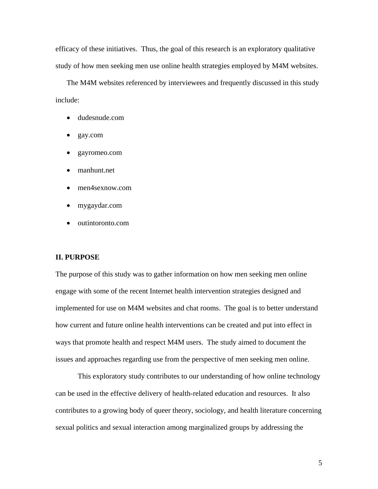efficacy of these initiatives. Thus, the goal of this research is an exploratory qualitative study of how men seeking men use online health strategies employed by M4M websites.

The M4M websites referenced by interviewees and frequently discussed in this study include:

- dudesnude.com
- gay.com
- gayromeo.com
- manhunt.net
- men4sexnow.com
- mygaydar.com
- outintoronto.com

#### **II. PURPOSE**

The purpose of this study was to gather information on how men seeking men online engage with some of the recent Internet health intervention strategies designed and implemented for use on M4M websites and chat rooms. The goal is to better understand how current and future online health interventions can be created and put into effect in ways that promote health and respect M4M users. The study aimed to document the issues and approaches regarding use from the perspective of men seeking men online.

This exploratory study contributes to our understanding of how online technology can be used in the effective delivery of health-related education and resources. It also contributes to a growing body of queer theory, sociology, and health literature concerning sexual politics and sexual interaction among marginalized groups by addressing the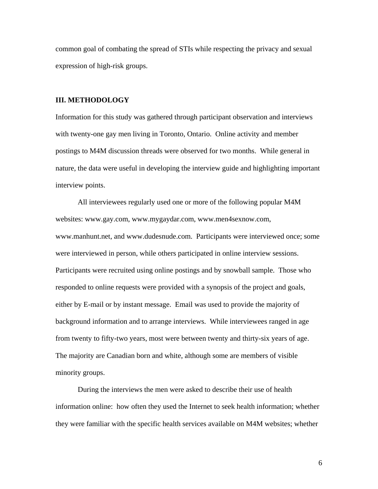common goal of combating the spread of STIs while respecting the privacy and sexual expression of high-risk groups.

#### **III. METHODOLOGY**

Information for this study was gathered through participant observation and interviews with twenty-one gay men living in Toronto, Ontario. Online activity and member postings to M4M discussion threads were observed for two months. While general in nature, the data were useful in developing the interview guide and highlighting important interview points.

All interviewees regularly used one or more of the following popular M4M websites: www.gay.com, www.mygaydar.com, www.men4sexnow.com, www.manhunt.net, and www.dudesnude.com. Participants were interviewed once; some were interviewed in person, while others participated in online interview sessions. Participants were recruited using online postings and by snowball sample. Those who responded to online requests were provided with a synopsis of the project and goals, either by E-mail or by instant message. Email was used to provide the majority of background information and to arrange interviews. While interviewees ranged in age from twenty to fifty-two years, most were between twenty and thirty-six years of age. The majority are Canadian born and white, although some are members of visible minority groups.

During the interviews the men were asked to describe their use of health information online: how often they used the Internet to seek health information; whether they were familiar with the specific health services available on M4M websites; whether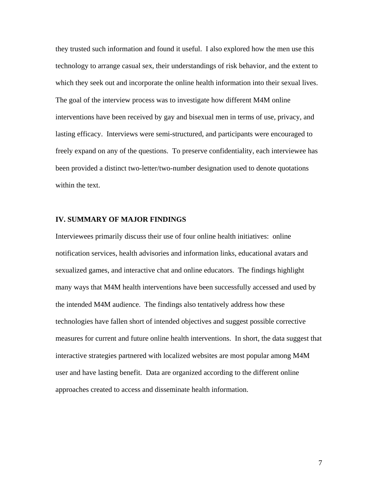they trusted such information and found it useful. I also explored how the men use this technology to arrange casual sex, their understandings of risk behavior, and the extent to which they seek out and incorporate the online health information into their sexual lives. The goal of the interview process was to investigate how different M4M online interventions have been received by gay and bisexual men in terms of use, privacy, and lasting efficacy. Interviews were semi-structured, and participants were encouraged to freely expand on any of the questions. To preserve confidentiality, each interviewee has been provided a distinct two-letter/two-number designation used to denote quotations within the text.

#### **IV. SUMMARY OF MAJOR FINDINGS**

Interviewees primarily discuss their use of four online health initiatives: online notification services, health advisories and information links, educational avatars and sexualized games, and interactive chat and online educators. The findings highlight many ways that M4M health interventions have been successfully accessed and used by the intended M4M audience. The findings also tentatively address how these technologies have fallen short of intended objectives and suggest possible corrective measures for current and future online health interventions. In short, the data suggest that interactive strategies partnered with localized websites are most popular among M4M user and have lasting benefit. Data are organized according to the different online approaches created to access and disseminate health information.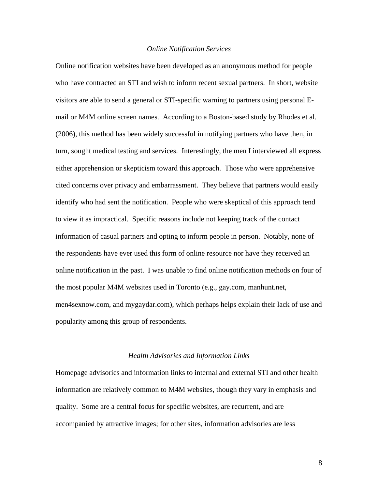#### *Online Notification Services*

Online notification websites have been developed as an anonymous method for people who have contracted an STI and wish to inform recent sexual partners. In short, website visitors are able to send a general or STI-specific warning to partners using personal Email or M4M online screen names. According to a Boston-based study by Rhodes et al. (2006), this method has been widely successful in notifying partners who have then, in turn, sought medical testing and services. Interestingly, the men I interviewed all express either apprehension or skepticism toward this approach. Those who were apprehensive cited concerns over privacy and embarrassment. They believe that partners would easily identify who had sent the notification. People who were skeptical of this approach tend to view it as impractical. Specific reasons include not keeping track of the contact information of casual partners and opting to inform people in person. Notably, none of the respondents have ever used this form of online resource nor have they received an online notification in the past. I was unable to find online notification methods on four of the most popular M4M websites used in Toronto (e.g., gay.com, manhunt.net, men4sexnow.com, and mygaydar.com), which perhaps helps explain their lack of use and popularity among this group of respondents.

#### *Health Advisories and Information Links*

Homepage advisories and information links to internal and external STI and other health information are relatively common to M4M websites, though they vary in emphasis and quality. Some are a central focus for specific websites, are recurrent, and are accompanied by attractive images; for other sites, information advisories are less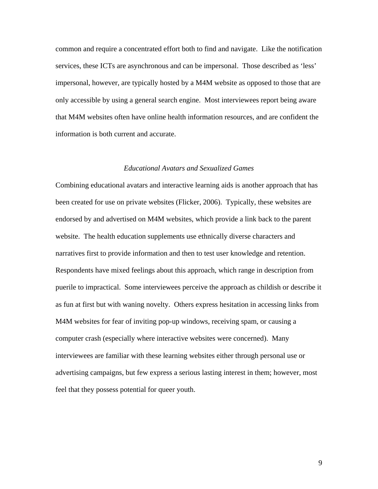common and require a concentrated effort both to find and navigate. Like the notification services, these ICTs are asynchronous and can be impersonal. Those described as 'less' impersonal, however, are typically hosted by a M4M website as opposed to those that are only accessible by using a general search engine. Most interviewees report being aware that M4M websites often have online health information resources, and are confident the information is both current and accurate.

#### *Educational Avatars and Sexualized Games*

Combining educational avatars and interactive learning aids is another approach that has been created for use on private websites (Flicker, 2006). Typically, these websites are endorsed by and advertised on M4M websites, which provide a link back to the parent website. The health education supplements use ethnically diverse characters and narratives first to provide information and then to test user knowledge and retention. Respondents have mixed feelings about this approach, which range in description from puerile to impractical. Some interviewees perceive the approach as childish or describe it as fun at first but with waning novelty. Others express hesitation in accessing links from M4M websites for fear of inviting pop-up windows, receiving spam, or causing a computer crash (especially where interactive websites were concerned). Many interviewees are familiar with these learning websites either through personal use or advertising campaigns, but few express a serious lasting interest in them; however, most feel that they possess potential for queer youth.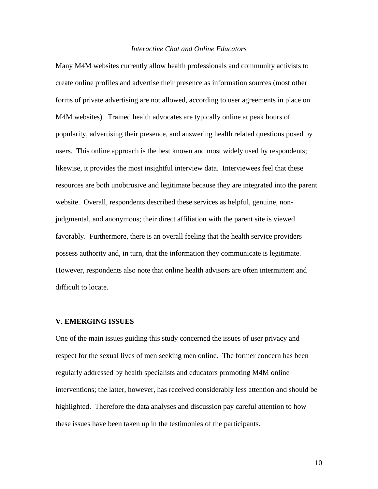#### *Interactive Chat and Online Educators*

Many M4M websites currently allow health professionals and community activists to create online profiles and advertise their presence as information sources (most other forms of private advertising are not allowed, according to user agreements in place on M4M websites). Trained health advocates are typically online at peak hours of popularity, advertising their presence, and answering health related questions posed by users. This online approach is the best known and most widely used by respondents; likewise, it provides the most insightful interview data. Interviewees feel that these resources are both unobtrusive and legitimate because they are integrated into the parent website. Overall, respondents described these services as helpful, genuine, nonjudgmental, and anonymous; their direct affiliation with the parent site is viewed favorably. Furthermore, there is an overall feeling that the health service providers possess authority and, in turn, that the information they communicate is legitimate. However, respondents also note that online health advisors are often intermittent and difficult to locate.

#### **V. EMERGING ISSUES**

One of the main issues guiding this study concerned the issues of user privacy and respect for the sexual lives of men seeking men online. The former concern has been regularly addressed by health specialists and educators promoting M4M online interventions; the latter, however, has received considerably less attention and should be highlighted. Therefore the data analyses and discussion pay careful attention to how these issues have been taken up in the testimonies of the participants.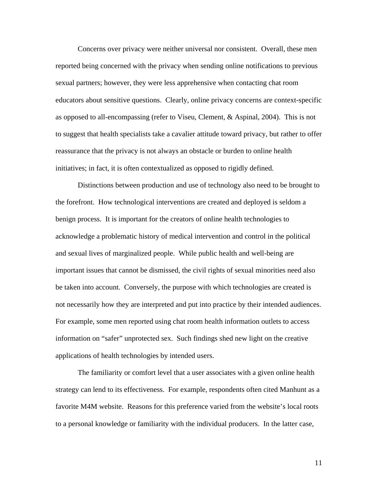Concerns over privacy were neither universal nor consistent. Overall, these men reported being concerned with the privacy when sending online notifications to previous sexual partners; however, they were less apprehensive when contacting chat room educators about sensitive questions. Clearly, online privacy concerns are context-specific as opposed to all-encompassing (refer to Viseu, Clement, & Aspinal, 2004). This is not to suggest that health specialists take a cavalier attitude toward privacy, but rather to offer reassurance that the privacy is not always an obstacle or burden to online health initiatives; in fact, it is often contextualized as opposed to rigidly defined.

Distinctions between production and use of technology also need to be brought to the forefront. How technological interventions are created and deployed is seldom a benign process. It is important for the creators of online health technologies to acknowledge a problematic history of medical intervention and control in the political and sexual lives of marginalized people. While public health and well-being are important issues that cannot be dismissed, the civil rights of sexual minorities need also be taken into account. Conversely, the purpose with which technologies are created is not necessarily how they are interpreted and put into practice by their intended audiences. For example, some men reported using chat room health information outlets to access information on "safer" unprotected sex. Such findings shed new light on the creative applications of health technologies by intended users.

The familiarity or comfort level that a user associates with a given online health strategy can lend to its effectiveness. For example, respondents often cited Manhunt as a favorite M4M website. Reasons for this preference varied from the website's local roots to a personal knowledge or familiarity with the individual producers. In the latter case,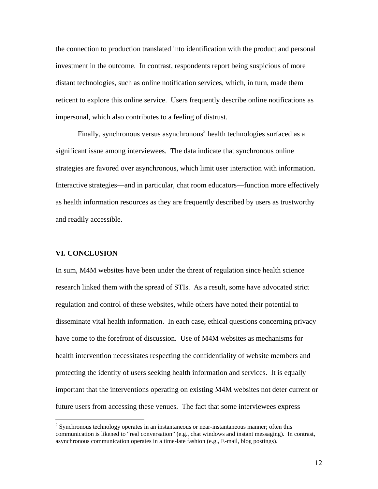the connection to production translated into identification with the product and personal investment in the outcome. In contrast, respondents report being suspicious of more distant technologies, such as online notification services, which, in turn, made them reticent to explore this online service. Users frequently describe online notifications as impersonal, which also contributes to a feeling of distrust.

Finally, synchronous versus asynchronous<sup>2</sup> health technologies surfaced as a significant issue among interviewees. The data indicate that synchronous online strategies are favored over asynchronous, which limit user interaction with information. Interactive strategies—and in particular, chat room educators—function more effectively as health information resources as they are frequently described by users as trustworthy and readily accessible.

## **VI. CONCLUSION**

 $\overline{a}$ 

In sum, M4M websites have been under the threat of regulation since health science research linked them with the spread of STIs. As a result, some have advocated strict regulation and control of these websites, while others have noted their potential to disseminate vital health information. In each case, ethical questions concerning privacy have come to the forefront of discussion. Use of M4M websites as mechanisms for health intervention necessitates respecting the confidentiality of website members and protecting the identity of users seeking health information and services. It is equally important that the interventions operating on existing M4M websites not deter current or future users from accessing these venues. The fact that some interviewees express

 $2^{2}$  Synchronous technology operates in an instantaneous or near-instantaneous manner; often this communication is likened to "real conversation" (e.g., chat windows and instant messaging). In contrast, asynchronous communication operates in a time-late fashion (e.g., E-mail, blog postings).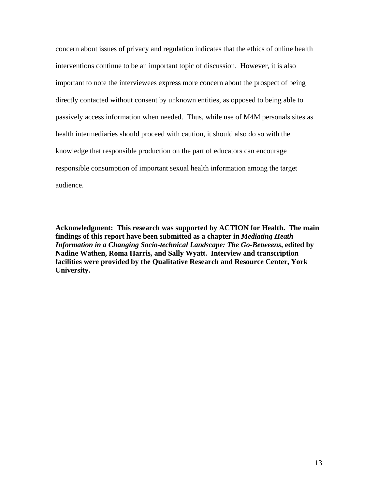concern about issues of privacy and regulation indicates that the ethics of online health interventions continue to be an important topic of discussion. However, it is also important to note the interviewees express more concern about the prospect of being directly contacted without consent by unknown entities, as opposed to being able to passively access information when needed. Thus, while use of M4M personals sites as health intermediaries should proceed with caution, it should also do so with the knowledge that responsible production on the part of educators can encourage responsible consumption of important sexual health information among the target audience.

**Acknowledgment: This research was supported by ACTION for Health. The main findings of this report have been submitted as a chapter in** *Mediating Heath Information in a Changing Socio-technical Landscape: The Go-Betweens***, edited by Nadine Wathen, Roma Harris, and Sally Wyatt. Interview and transcription facilities were provided by the Qualitative Research and Resource Center, York University.**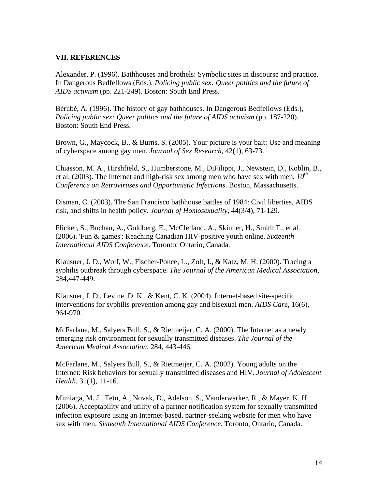# **VII. REFERENCES**

Alexander, P. (1996). Bathhouses and brothels: Symbolic sites in discourse and practice. In Dangerous Bedfellows (Eds.), *Policing public sex: Queer politics and the future of AIDS activism* (pp. 221-249). Boston: South End Press.

Bérubé, A. (1996). The history of gay bathhouses. In Dangerous Bedfellows (Eds.), *Policing public sex: Queer politics and the future of AIDS activism* (pp. 187-220). Boston: South End Press.

Brown, G., Maycock, B., & Burns, S. (2005). Your picture is your bait: Use and meaning of cyberspace among gay men. *Journal of Sex Research*, 42(1), 63-73.

Chiasson, M. A., Hirshfield, S., Humberstone, M., DiFilippi, J., Newstein, D., Koblin, B., et al. (2003). The Internet and high-risk sex among men who have sex with men,  $10^{th}$ *Conference on Retroviruses and Opportunistic Infections*. Boston, Massachusetts.

Disman, C. (2003). The San Francisco bathhouse battles of 1984: Civil liberties, AIDS risk, and shifts in health policy. *Journal of Homosexuality*, 44(3/4), 71-129.

Flicker, S., Buchan, A., Goldberg, E., McClelland, A., Skinner, H., Smith T., et al. (2006). 'Fun & games': Reaching Canadian HIV-positive youth online. *Sixteenth International AIDS Conference*. Toronto, Ontario, Canada.

Klausner, J. D., Wolf, W., Fischer-Ponce, L., Zolt, I., & Katz, M. H. (2000). Tracing a syphilis outbreak through cyberspace. *The Journal of the American Medical Association*, 284,447-449.

Klausner, J. D., Levine, D. K., & Kent, C. K. (2004). Internet-based site-specific interventions for syphilis prevention among gay and bisexual men. *AIDS Care*, 16(6), 964-970.

McFarlane, M., Salyers Bull, S., & Rietmeijer, C. A. (2000). The Internet as a newly emerging risk environment for sexually transmitted diseases. *The Journal of the American Medical Association*, 284, 443-446.

McFarlane, M., Salyers Bull, S., & Rietmeijer, C. A. (2002). Young adults on the Internet: Risk behaviors for sexually transmitted diseases and HIV. *Journal of Adolescent Health*, 31(1), 11-16.

Mimiaga, M. J., Tetu, A., Novak, D., Adelson, S., Vanderwarker, R., & Mayer, K. H. (2006). Acceptability and utility of a partner notification system for sexually transmitted infection exposure using an Internet-based, partner-seeking website for men who have sex with men. *Sixteenth International AIDS Conference*. Toronto, Ontario, Canada.